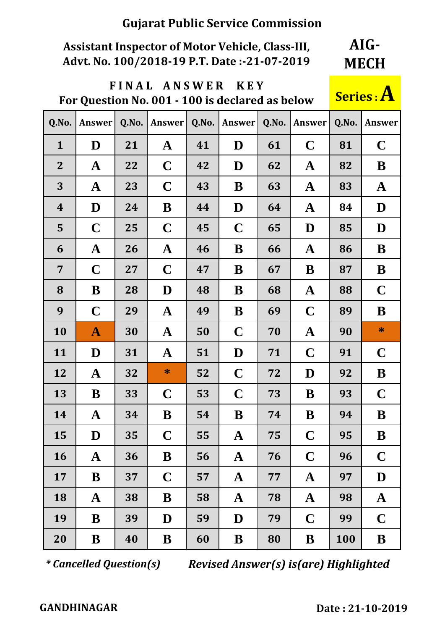## **Assistant Inspector of Motor Vehicle, Class-III, Advt. No. 100/2018-19 P.T. Date :-21-07-2019**

**AIG-MECH**

### **F I N A L A N S W E R K E Y For Question No. 001 - 100 is declared as below Series : A**



| Q.No.            | <b>Answer</b> | Q.No. | <b>Answer</b> | Q.No. | Answer      | Q.No. | Answer       | Q.No.      | <b>Answer</b> |
|------------------|---------------|-------|---------------|-------|-------------|-------|--------------|------------|---------------|
| $\mathbf{1}$     | D             | 21    | $\mathbf A$   | 41    | D           | 61    | $\mathbf C$  | 81         | $\mathbf C$   |
| $\overline{2}$   | $\mathbf A$   | 22    | $\mathbf C$   | 42    | D           | 62    | $\mathbf{A}$ | 82         | B             |
| 3                | $\mathbf A$   | 23    | $\mathbf C$   | 43    | B           | 63    | $\mathbf{A}$ | 83         | $\mathbf{A}$  |
| $\boldsymbol{4}$ | D             | 24    | B             | 44    | D           | 64    | $\mathbf A$  | 84         | D             |
| 5                | $\mathbf C$   | 25    | $\mathbf C$   | 45    | $\mathbf C$ | 65    | D            | 85         | D             |
| 6                | $\mathbf A$   | 26    | $\mathbf A$   | 46    | B           | 66    | $\mathbf{A}$ | 86         | B             |
| $\overline{7}$   | $\mathbf C$   | 27    | $\mathbf C$   | 47    | B           | 67    | B            | 87         | B             |
| 8                | B             | 28    | D             | 48    | B           | 68    | $\mathbf A$  | 88         | $\mathbf C$   |
| 9                | $\mathbf C$   | 29    | $\mathbf A$   | 49    | B           | 69    | $\mathbf C$  | 89         | B             |
| 10               | $\mathbf{A}$  | 30    | $\mathbf A$   | 50    | $\mathbf C$ | 70    | $\mathbf{A}$ | 90         | $\ast$        |
| 11               | D             | 31    | $\mathbf A$   | 51    | D           | 71    | $\mathbf C$  | 91         | $\mathbf C$   |
| 12               | $\mathbf A$   | 32    | $*$           | 52    | $\mathbf C$ | 72    | D            | 92         | B             |
| 13               | B             | 33    | $\mathbf C$   | 53    | $\mathbf C$ | 73    | B            | 93         | $\mathbf C$   |
| 14               | $\mathbf{A}$  | 34    | B             | 54    | B           | 74    | B            | 94         | B             |
| 15               | D             | 35    | $\mathbf C$   | 55    | ${\bf A}$   | 75    | $\mathbf C$  | 95         | B             |
| 16               | $\mathbf{A}$  | 36    | B             | 56    | $\mathbf A$ | 76    | $\mathbf C$  | 96         | $\mathbf C$   |
| 17               | B             | 37    | $\mathbf C$   | 57    | $\mathbf A$ | 77    | $\mathbf A$  | 97         | D             |
| 18               | $\mathbf A$   | 38    | B             | 58    | $\mathbf A$ | 78    | ${\bf A}$    | 98         | $\mathbf A$   |
| 19               | B             | 39    | D             | 59    | D           | 79    | $\mathbf C$  | 99         | $\mathbf C$   |
| 20               | B             | 40    | $\bf{B}$      | 60    | B           | 80    | B            | <b>100</b> | B             |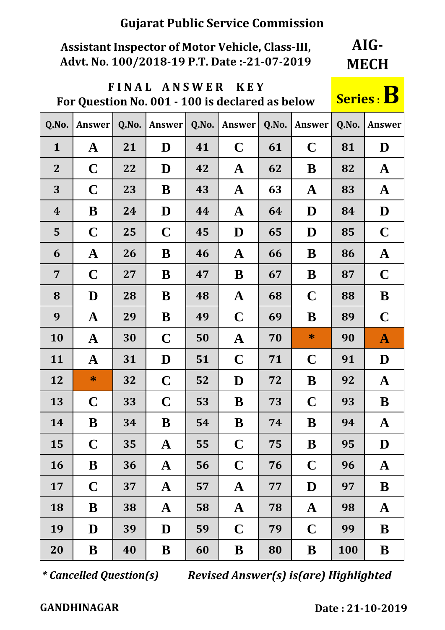# **Assistant Inspector of Motor Vehicle, Class-III, Advt. No. 100/2018-19 P.T. Date :-21-07-2019**

**AIG-MECH**

# **F I N A L A N S W E R K E Y**  For Question No. 001 - 100 is declared as below

| Q.No.            | <b>Answer</b> | Q.No. | Answer       | Q.No. | Answer       | Q.No. | Answer      | Q.No. | <b>Answer</b> |
|------------------|---------------|-------|--------------|-------|--------------|-------|-------------|-------|---------------|
| $\mathbf{1}$     | $\mathbf A$   | 21    | D            | 41    | $\mathbf C$  | 61    | $\mathbf C$ | 81    | D             |
| $\mathbf{2}$     | $\mathbf C$   | 22    | D            | 42    | $\mathbf{A}$ | 62    | B           | 82    | $\mathbf{A}$  |
| 3                | $\mathbf C$   | 23    | B            | 43    | $\mathbf A$  | 63    | $\mathbf A$ | 83    | $\mathbf A$   |
| $\boldsymbol{4}$ | B             | 24    | D            | 44    | $\mathbf A$  | 64    | D           | 84    | D             |
| 5                | $\mathbf C$   | 25    | $\mathbf C$  | 45    | D            | 65    | D           | 85    | $\mathbf C$   |
| 6                | $\mathbf A$   | 26    | B            | 46    | $\mathbf A$  | 66    | B           | 86    | $\mathbf A$   |
| $\overline{7}$   | $\mathbf C$   | 27    | B            | 47    | B            | 67    | B           | 87    | $\mathbf C$   |
| 8                | D             | 28    | B            | 48    | $\mathbf A$  | 68    | $\mathbf C$ | 88    | B             |
| 9                | $\mathbf A$   | 29    | B            | 49    | $\mathbf C$  | 69    | B           | 89    | $\mathbf C$   |
| 10               | $\mathbf{A}$  | 30    | $\mathbf C$  | 50    | $\mathbf A$  | 70    | $\ast$      | 90    | $\mathbf{A}$  |
| 11               | $\mathbf A$   | 31    | D            | 51    | $\mathbf C$  | 71    | $\mathbf C$ | 91    | D             |
| 12               | $\ast$        | 32    | $\mathbf C$  | 52    | D            | 72    | B           | 92    | $\mathbf A$   |
| 13               | $\mathbf C$   | 33    | $\mathbf C$  | 53    | B            | 73    | $\mathbf C$ | 93    | B             |
| 14               | B             | 34    | B            | 54    | B            | 74    | B           | 94    | ${\bf A}$     |
| 15               | $\mathbf C$   | 35    | ${\bf A}$    | 55    | $\mathbf C$  | 75    | B           | 95    | D             |
| 16               | B             | 36    | $\mathbf{A}$ | 56    | $\mathbf C$  | 76    | $\mathbf C$ | 96    | $\mathbf A$   |
| 17               | $\mathbf C$   | 37    | $\mathbf A$  | 57    | $\mathbf A$  | 77    | D           | 97    | B             |
| 18               | B             | 38    | $\mathbf A$  | 58    | $\mathbf A$  | 78    | $\mathbf A$ | 98    | $\mathbf A$   |
| 19               | D             | 39    | D            | 59    | $\mathbf C$  | 79    | $\mathbf C$ | 99    | B             |
| 20               | ${\bf B}$     | 40    | B            | 60    | B            | 80    | B           | 100   | ${\bf B}$     |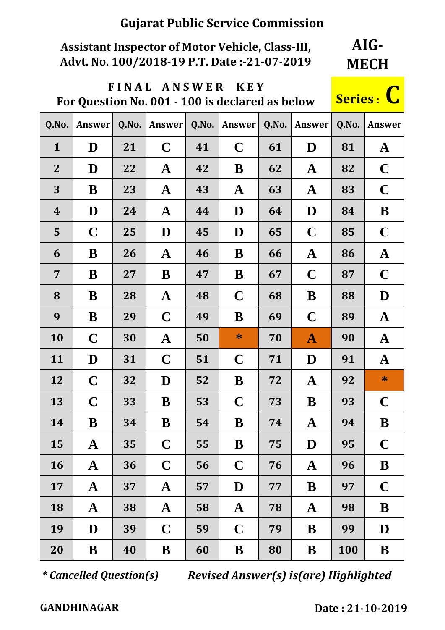# **Assistant Inspector of Motor Vehicle, Class-III, Advt. No. 100/2018-19 P.T. Date :-21-07-2019**

**AIG-MECH**

## **F I N A L A N S W E R K E Y**  For Question No. 001 - 100 is declared as below

| <b>Series:</b> |  |
|----------------|--|
|                |  |

| Q.No.            | <b>Answer</b> | Q.No. | <b>Answer</b> | Q.No. | Answer      | Q.No. | Answer       | Q.No. | Answer       |
|------------------|---------------|-------|---------------|-------|-------------|-------|--------------|-------|--------------|
| $\mathbf{1}$     | D             | 21    | $\mathbf C$   | 41    | $\mathbf C$ | 61    | D            | 81    | $\mathbf{A}$ |
| $\overline{2}$   | D             | 22    | $\mathbf A$   | 42    | B           | 62    | $\mathbf A$  | 82    | $\mathbf C$  |
| 3                | B             | 23    | $\mathbf A$   | 43    | ${\bf A}$   | 63    | $\mathbf A$  | 83    | $\mathbf C$  |
| $\boldsymbol{4}$ | D             | 24    | $\mathbf A$   | 44    | D           | 64    | D            | 84    | B            |
| 5                | $\mathbf C$   | 25    | D             | 45    | D           | 65    | $\mathbf C$  | 85    | $\mathbf C$  |
| 6                | B             | 26    | $\mathbf A$   | 46    | B           | 66    | $\mathbf A$  | 86    | $\mathbf A$  |
| $\overline{7}$   | B             | 27    | B             | 47    | B           | 67    | $\mathbf C$  | 87    | $\mathbf C$  |
| 8                | B             | 28    | $\mathbf A$   | 48    | $\mathbf C$ | 68    | B            | 88    | D            |
| 9                | B             | 29    | $\mathbf C$   | 49    | B           | 69    | $\mathbf C$  | 89    | $\mathbf A$  |
| 10               | $\mathbf C$   | 30    | $\mathbf{A}$  | 50    | $\ast$      | 70    | $\mathbf{A}$ | 90    | $\mathbf{A}$ |
| 11               | D             | 31    | $\mathbf C$   | 51    | $\mathbf C$ | 71    | D            | 91    | $\mathbf{A}$ |
| 12               | $\mathbf C$   | 32    | D             | 52    | B           | 72    | $\mathbf A$  | 92    | $\ast$       |
| 13               | $\mathbf C$   | 33    | B             | 53    | $\mathbf C$ | 73    | B            | 93    | $\mathbf C$  |
| 14               | B             | 34    | B             | 54    | B           | 74    | $\mathbf A$  | 94    | B            |
| 15               | $\bf A$       | 35    | $\mathbf C$   | 55    | $\bf{B}$    | 75    | $\mathbf D$  | 95    | $\mathbf C$  |
| <b>16</b>        | $\mathbf{A}$  | 36    | $\mathbf C$   | 56    | $\mathbf C$ | 76    | $\mathbf{A}$ | 96    | B            |
| 17               | $\mathbf{A}$  | 37    | $\mathbf{A}$  | 57    | D           | 77    | B            | 97    | $\mathbf C$  |
| 18               | $\mathbf{A}$  | 38    | $\mathbf{A}$  | 58    | ${\bf A}$   | 78    | $\mathbf A$  | 98    | B            |
| 19               | D             | 39    | $\mathbf C$   | 59    | $\mathbf C$ | 79    | B            | 99    | D            |
| 20               | ${\bf B}$     | 40    | B             | 60    | B           | 80    | B            | 100   | B            |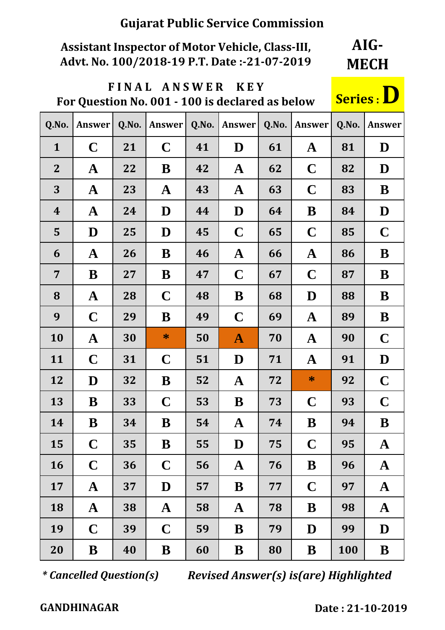# **Assistant Inspector of Motor Vehicle, Class-III, Advt. No. 100/2018-19 P.T. Date :-21-07-2019**

**AIG-MECH**

# **F I N A L A N S W E R K E Y For Question No. 001 - 100 is declared as below Series : D**

| Q.No.            | Answer      | Q.No. | Answer       | Q.No. | <b>Answer</b> | Q.No. | Answer      | Q.No. | Answer      |
|------------------|-------------|-------|--------------|-------|---------------|-------|-------------|-------|-------------|
| $\mathbf{1}$     | $\mathbf C$ | 21    | $\mathbf C$  | 41    | D             | 61    | ${\bf A}$   | 81    | D           |
| $\overline{2}$   | $\mathbf A$ | 22    | B            | 42    | $\mathbf A$   | 62    | $\mathbf C$ | 82    | D           |
| 3                | ${\bf A}$   | 23    | ${\bf A}$    | 43    | $\mathbf A$   | 63    | $\mathbf C$ | 83    | B           |
| $\boldsymbol{4}$ | $\mathbf A$ | 24    | D            | 44    | D             | 64    | B           | 84    | D           |
| 5                | D           | 25    | D            | 45    | $\mathbf C$   | 65    | $\mathbf C$ | 85    | $\mathbf C$ |
| 6                | $\mathbf A$ | 26    | B            | 46    | $\mathbf A$   | 66    | $\mathbf A$ | 86    | B           |
| $\overline{7}$   | B           | 27    | B            | 47    | $\mathbf C$   | 67    | $\mathbf C$ | 87    | B           |
| 8                | $\mathbf A$ | 28    | $\mathbf C$  | 48    | B             | 68    | D           | 88    | B           |
| 9                | $\mathbf C$ | 29    | B            | 49    | $\mathbf C$   | 69    | $\mathbf A$ | 89    | B           |
| 10               | $\mathbf A$ | 30    | $\ast$       | 50    | $\mathbf{A}$  | 70    | $\mathbf A$ | 90    | $\mathbf C$ |
| 11               | $\mathbf C$ | 31    | $\mathbf C$  | 51    | D             | 71    | $\mathbf A$ | 91    | D           |
| 12               | D           | 32    | B            | 52    | $\mathbf A$   | 72    | $\ast$      | 92    | $\mathbf C$ |
| 13               | B           | 33    | $\mathbf C$  | 53    | B             | 73    | $\mathbf C$ | 93    | $\mathbf C$ |
| 14               | B           | 34    | B            | 54    | $\mathbf A$   | 74    | B           | 94    | B           |
| 15               | $\mathbf C$ | 35    | B            | 55    | D             | 75    | $\mathbf C$ | 95    | $\mathbf A$ |
| 16               | $\mathbf C$ | 36    | $\mathbf C$  | 56    | $\mathbf A$   | 76    | B           | 96    | $\mathbf A$ |
| 17               | $\mathbf A$ | 37    | D            | 57    | B             | 77    | $\mathbf C$ | 97    | $\mathbf A$ |
| 18               | $\mathbf A$ | 38    | $\mathbf{A}$ | 58    | $\mathbf A$   | 78    | B           | 98    | $\mathbf A$ |
| 19               | $\mathbf C$ | 39    | $\mathbf C$  | 59    | B             | 79    | D           | 99    | D           |
| 20               | B           | 40    | B            | 60    | B             | 80    | B           | 100   | B           |

*\* Cancelled Question(s) Revised Answer(s) is(are) Highlighted*

 **GANDHINAGAR Date : 21-10-2019 :**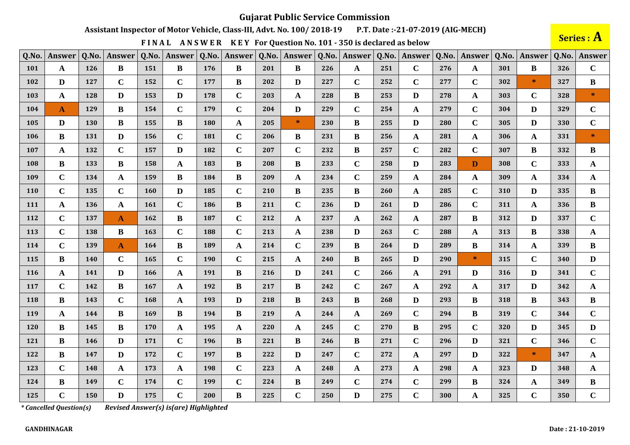Assistant Inspector of Motor Vehicle, Class-III, Advt. No. 100/2018-19 P.T. Date:-21-07-2019 (AIG-MECH)

FINAL ANSWER KEY For Question No. 101 - 350 is declared as below

Series : A

| Q.No.      | Answer       | Q.No. | Answer       | Q.No.      | Answer       | Q.No. | Answer      | Q.No. | Answer       | Q.No. | Answer       | Q.No. | Answer       | Q.No. | Answer       | Q.No. | <b>Answer</b> | Q.No. | Answer                            |
|------------|--------------|-------|--------------|------------|--------------|-------|-------------|-------|--------------|-------|--------------|-------|--------------|-------|--------------|-------|---------------|-------|-----------------------------------|
| 101        | $\mathbf A$  | 126   | B            | 151        | $\bf{B}$     | 176   | $\bf{B}$    | 201   | $\bf{B}$     | 226   | $\mathbf{A}$ | 251   | $\mathbf C$  | 276   | $\mathbf{A}$ | 301   | B             | 326   | $\mathbf C$                       |
| 102        | D            | 127   | $\mathbf C$  | 152        | $\mathbf C$  | 177   | B           | 202   | D            | 227   | $\mathbf C$  | 252   | $\mathbf C$  | 277   | $\mathbf C$  | 302   | $\star$       | 327   | B                                 |
| 103        | $\mathbf A$  | 128   | D            | 153        | D            | 178   | $\mathbf C$ | 203   | $\mathbf{A}$ | 228   | B            | 253   | D            | 278   | A            | 303   | $\mathbf C$   | 328   | $\frac{d\mathbf{r}}{d\mathbf{r}}$ |
| 104        | $\mathbf{A}$ | 129   | B            | 154        | $\mathbf C$  | 179   | $\mathbf C$ | 204   | D            | 229   | $\mathbf C$  | 254   | $\mathbf A$  | 279   | $\mathbf C$  | 304   | D             | 329   | $\mathbf C$                       |
| 105        | D            | 130   | B            | 155        | B            | 180   | A           | 205   | $\ast$       | 230   | B            | 255   | D            | 280   | $\mathbf C$  | 305   | D             | 330   | $\mathbf C$                       |
| <b>106</b> | B            | 131   | D            | 156        | $\mathbf C$  | 181   | $\mathbf C$ | 206   | B            | 231   | $\bf{B}$     | 256   | $\mathbf A$  | 281   | A            | 306   | $\mathbf{A}$  | 331   | $\ast$                            |
| 107        | A            | 132   | $\mathbf C$  | 157        | $\mathbf{D}$ | 182   | $\mathbf C$ | 207   | $\mathbf C$  | 232   | B            | 257   | $\mathbf C$  | 282   | $\mathbf C$  | 307   | B             | 332   | B                                 |
| <b>108</b> | B            | 133   | B            | 158        | $\mathbf{A}$ | 183   | $\bf{B}$    | 208   | B            | 233   | $\mathbf C$  | 258   | D            | 283   | D            | 308   | $\mathbf C$   | 333   | $\mathbf{A}$                      |
| 109        | $\mathbf C$  | 134   | $\mathbf{A}$ | 159        | $\bf{B}$     | 184   | $\bf{B}$    | 209   | $\mathbf{A}$ | 234   | $\mathbf C$  | 259   | $\mathbf A$  | 284   | A            | 309   | A             | 334   | $\mathbf{A}$                      |
| 110        | $\mathbf C$  | 135   | $\mathbf C$  | 160        | D            | 185   | $\mathbf C$ | 210   | B            | 235   | B            | 260   | A            | 285   | $\mathbf C$  | 310   | D             | 335   | $\bf{B}$                          |
| 111        | A            | 136   | A            | <b>161</b> | $\mathbf C$  | 186   | $\bf{B}$    | 211   | $\mathbf C$  | 236   | $\mathbf{D}$ | 261   | D            | 286   | $\mathbf C$  | 311   | A             | 336   | B                                 |
| 112        | $\mathbf C$  | 137   | A            | 162        | $\bf{B}$     | 187   | $\mathbf C$ | 212   | A            | 237   | A            | 262   | $\mathbf{A}$ | 287   | B            | 312   | D             | 337   | $\mathbf C$                       |
| 113        | $\mathbf C$  | 138   | B            | 163        | $\mathbf C$  | 188   | $\mathbf C$ | 213   | $\mathbf{A}$ | 238   | D            | 263   | $\mathbf C$  | 288   | A            | 313   | $\bf{B}$      | 338   | $\mathbf{A}$                      |
| 114        | $\mathbf C$  | 139   | $\mathbf{A}$ | 164        | $\bf{B}$     | 189   | ${\bf A}$   | 214   | $\mathbf C$  | 239   | B            | 264   | D            | 289   | $\bf{B}$     | 314   | A             | 339   | $\bf{B}$                          |
| 115        | B            | 140   | $\mathbf C$  | 165        | $\mathbf C$  | 190   | $\mathbf C$ | 215   | $\mathbf{A}$ | 240   | $\bf{B}$     | 265   | D            | 290   | $\ast$       | 315   | $\mathbf C$   | 340   | D                                 |
| <b>116</b> | A            | 141   | D            | 166        | $\mathbf{A}$ | 191   | B           | 216   | D            | 241   | $\mathbf C$  | 266   | $\mathbf{A}$ | 291   | D            | 316   | D             | 341   | $\mathbf C$                       |
| 117        | $\mathbf C$  | 142   | B            | 167        | $\mathbf A$  | 192   | $\bf{B}$    | 217   | B            | 242   | $\mathbf C$  | 267   | A            | 292   | A            | 317   | D             | 342   | $\mathbf{A}$                      |
| 118        | B            | 143   | $\mathbf C$  | 168        | $\mathbf A$  | 193   | D           | 218   | $\bf{B}$     | 243   | B            | 268   | D            | 293   | B            | 318   | B             | 343   | $\bf{B}$                          |
| 119        | A            | 144   | B            | 169        | $\bf{B}$     | 194   | $\bf{B}$    | 219   | $\mathbf{A}$ | 244   | A            | 269   | $\mathbf C$  | 294   | $\bf{B}$     | 319   | $\mathbf C$   | 344   | $\mathbf C$                       |
| 120        | $\bf{B}$     | 145   | B            | 170        | $\mathbf{A}$ | 195   | A           | 220   | A            | 245   | $\mathbf C$  | 270   | $\bf{B}$     | 295   | $\mathbf C$  | 320   | D             | 345   | $\mathbf{D}$                      |
| 121        | B            | 146   | D            | 171        | $\mathbf C$  | 196   | B           | 221   | B            | 246   | B            | 271   | $\mathbf C$  | 296   | D            | 321   | $\mathbf C$   | 346   | $\mathbf C$                       |
| 122        | B            | 147   | D            | 172        | $\mathbf C$  | 197   | B           | 222   | D            | 247   | $\mathbf C$  | 272   | $\mathbf A$  | 297   | D            | 322   | $\ast$        | 347   | $\mathbf{A}$                      |
| 123        | $\mathbf C$  | 148   | $\mathbf{A}$ | 173        | $\mathbf{A}$ | 198   | $\mathbf C$ | 223   | $\mathbf{A}$ | 248   | $\mathbf{A}$ | 273   | $\mathbf{A}$ | 298   | A            | 323   | D             | 348   | $\mathbf{A}$                      |
| 124        | B            | 149   | $\mathbf C$  | 174        | $\mathbf C$  | 199   | $\mathbf C$ | 224   | $\bf{B}$     | 249   | $\mathbf C$  | 274   | $\mathbf C$  | 299   | B            | 324   | A             | 349   | B                                 |
| 125        | $\mathbf C$  | 150   | D            | 175        | $\mathbf C$  | 200   | $\bf{B}$    | 225   | $\mathbf C$  | 250   | D            | 275   | $\mathbf C$  | 300   | A            | 325   | $\mathbf C$   | 350   | $\mathbf C$                       |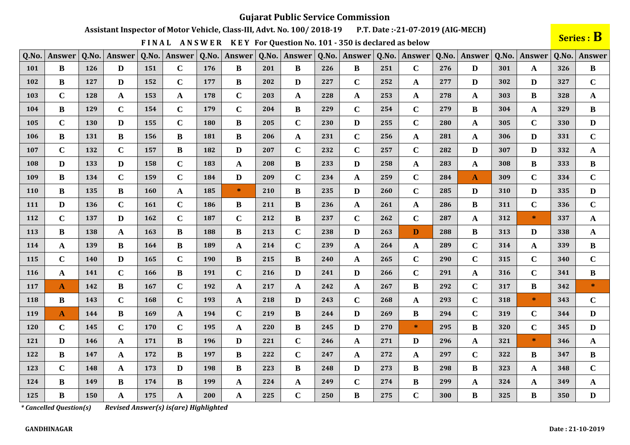Assistant Inspector of Motor Vehicle, Class-III, Advt. No. 100/2018-19 P.T. Date:-21-07-2019 (AIG-MECH)

FINAL ANSWER KEY For Question No. 101 - 350 is declared as below

Series : B

| Q.No. | Answer       | Q.No. | Answer       | Q.No. | <b>Answer</b> | Q.No. | Answer      | Q.No. | Answer       | Q.No. | Answer       | Q.No. | Answer       | Q.No. | Answer       | Q.No. | Answer       | Q.No. | <b>Answer</b> |
|-------|--------------|-------|--------------|-------|---------------|-------|-------------|-------|--------------|-------|--------------|-------|--------------|-------|--------------|-------|--------------|-------|---------------|
| 101   | $\bf{B}$     | 126   | D            | 151   | $\mathbf C$   | 176   | B           | 201   | $\bf{B}$     | 226   | B            | 251   | $\mathbf C$  | 276   | D            | 301   | A            | 326   | $\bf{B}$      |
| 102   | B            | 127   | D            | 152   | $\mathbf C$   | 177   | B           | 202   | D            | 227   | $\mathbf C$  | 252   | $\mathbf{A}$ | 277   | D            | 302   | D            | 327   | $\mathbf C$   |
| 103   | $\mathbf C$  | 128   | A            | 153   | $\mathbf{A}$  | 178   | $\mathbf C$ | 203   | A            | 228   | A            | 253   | $\mathbf{A}$ | 278   | A            | 303   | B            | 328   | A             |
| 104   | $\bf{B}$     | 129   | $\mathbf C$  | 154   | $\mathbf C$   | 179   | $\mathbf C$ | 204   | $\bf{B}$     | 229   | $\mathbf C$  | 254   | $\mathbf C$  | 279   | $\bf{B}$     | 304   | $\mathbf{A}$ | 329   | $\bf{B}$      |
| 105   | $\mathbf C$  | 130   | D            | 155   | $\mathbf C$   | 180   | B           | 205   | $\mathbf C$  | 230   | D            | 255   | $\mathbf C$  | 280   | A            | 305   | $\mathbf C$  | 330   | D             |
| 106   | B            | 131   | B            | 156   | B             | 181   | B           | 206   | A            | 231   | $\mathbf C$  | 256   | $\mathbf{A}$ | 281   | $\mathbf{A}$ | 306   | D            | 331   | $\mathbf C$   |
| 107   | $\mathbf C$  | 132   | $\mathbf C$  | 157   | $\bf{B}$      | 182   | D           | 207   | $\mathbf C$  | 232   | $\mathbf C$  | 257   | $\mathbf C$  | 282   | D            | 307   | D            | 332   | A             |
| 108   | D            | 133   | D            | 158   | $\mathbf C$   | 183   | A           | 208   | B            | 233   | D            | 258   | $\mathbf{A}$ | 283   | A            | 308   | B            | 333   | B             |
| 109   | $\bf{B}$     | 134   | $\mathbf C$  | 159   | $\mathbf C$   | 184   | D           | 209   | $\mathbf C$  | 234   | A            | 259   | $\mathbf C$  | 284   | $\mathbf{A}$ | 309   | $\mathbf C$  | 334   | $\mathbf C$   |
| 110   | $\bf{B}$     | 135   | $\bf{B}$     | 160   | $\mathbf{A}$  | 185   | $\ast$      | 210   | $\bf{B}$     | 235   | D            | 260   | $\mathbf C$  | 285   | D            | 310   | D            | 335   | D             |
| 111   | D            | 136   | $\mathbf C$  | 161   | $\mathbf C$   | 186   | B           | 211   | B            | 236   | $\mathbf{A}$ | 261   | A            | 286   | B            | 311   | $\mathbf C$  | 336   | $\mathbf C$   |
| 112   | $\mathbf C$  | 137   | D            | 162   | $\mathbf C$   | 187   | $\mathbf C$ | 212   | $\bf{B}$     | 237   | $\mathbf C$  | 262   | $\mathbf C$  | 287   | A            | 312   | $\ast$       | 337   | $\mathbf{A}$  |
| 113   | B            | 138   | A            | 163   | B             | 188   | B           | 213   | $\mathbf C$  | 238   | D            | 263   | D            | 288   | B            | 313   | D            | 338   | A             |
| 114   | A            | 139   | <sub>R</sub> | 164   | $\bf{B}$      | 189   | A           | 214   | $\mathbf C$  | 239   | $\mathbf{A}$ | 264   | $\mathbf{A}$ | 289   | $\mathbf C$  | 314   | A            | 339   | $\bf{B}$      |
| 115   | $\mathbf C$  | 140   | D            | 165   | $\mathbf C$   | 190   | B           | 215   | B            | 240   | A            | 265   | $\mathbf C$  | 290   | $\mathbf C$  | 315   | $\mathbf C$  | 340   | $\mathbf C$   |
| 116   | A            | 141   | $\mathbf C$  | 166   | $\bf{B}$      | 191   | $\mathbf C$ | 216   | D            | 241   | D            | 266   | $\mathbf C$  | 291   | $\mathbf{A}$ | 316   | $\mathbf C$  | 341   | $\bf{B}$      |
| 117   | A            | 142   | B            | 167   | $\mathbf C$   | 192   | A           | 217   | A            | 242   | $\mathbf{A}$ | 267   | $\bf{B}$     | 292   | $\mathbf C$  | 317   | B.           | 342   | $\ast$        |
| 118   | B            | 143   | $\mathbf C$  | 168   | $\mathbf C$   | 193   | A           | 218   | D            | 243   | $\mathbf C$  | 268   | $\mathbf{A}$ | 293   | $\mathbf C$  | 318   | $\ast$       | 343   | $\mathbf C$   |
| 119   | $\mathbf{A}$ | 144   | B            | 169   | $\mathbf{A}$  | 194   | $\mathbf C$ | 219   | $\bf{B}$     | 244   | D            | 269   | $\bf{B}$     | 294   | $\mathbf C$  | 319   | $\mathbf C$  | 344   | D             |
| 120   | $\mathbf C$  | 145   | $\mathbf C$  | 170   | $\mathbf C$   | 195   | A           | 220   | $\bf{B}$     | 245   | D            | 270   | $\ast$       | 295   | B            | 320   | $\mathbf C$  | 345   | D             |
| 121   | D            | 146   | A            | 171   | $\bf{B}$      | 196   | D           | 221   | $\mathbf C$  | 246   | A            | 271   | D            | 296   | A            | 321   | $\ast$       | 346   | A             |
| 122   | B            | 147   | A            | 172   | $\bf{B}$      | 197   | B           | 222   | $\mathbf C$  | 247   | A            | 272   | $\mathbf{A}$ | 297   | $\mathbf C$  | 322   | B            | 347   | $\bf{B}$      |
| 123   | $\mathbf C$  | 148   | $\mathbf{A}$ | 173   | $\mathbf{D}$  | 198   | $\bf{B}$    | 223   | $\bf{B}$     | 248   | D            | 273   | $\bf{B}$     | 298   | $\bf{B}$     | 323   | $\mathbf{A}$ | 348   | $\mathbf C$   |
| 124   | B            | 149   | B            | 174   | B             | 199   | A           | 224   | $\mathbf{A}$ | 249   | $\mathbf C$  | 274   | $\bf{B}$     | 299   | A            | 324   | $\mathbf{A}$ | 349   | $\mathbf{A}$  |
| 125   | $\bf{B}$     | 150   | A            | 175   | $\mathbf A$   | 200   | A           | 225   | $\mathbf C$  | 250   | $\bf{B}$     | 275   | $\mathbf C$  | 300   | B            | 325   | B            | 350   | $\mathbf{D}$  |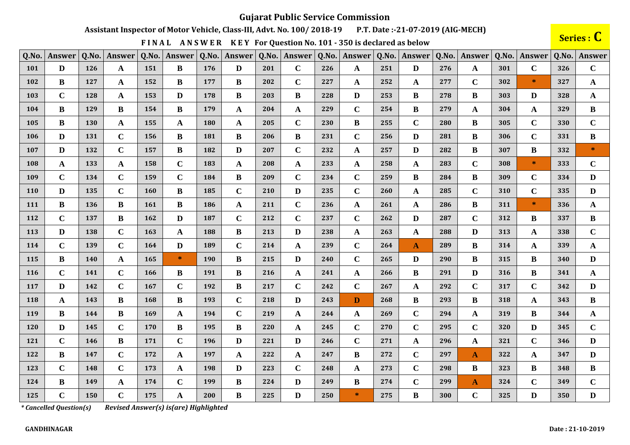Assistant Inspector of Motor Vehicle, Class-III, Advt. No. 100/2018-19 P.T. Date:-21-07-2019 (AIG-MECH)

FINAL ANSWER KEY For Question No. 101 - 350 is declared as below

Series : C

| Q.No.      | Answer      | Q.No. | Answer       | Q.No.      | Answer       | Q.No. | Answer      | Q.No. | Answer       | Q.No. | <b>Answer</b> | Q.No. | Answer       | Q.No. | Answer       | Q.No. | Answer      | Q.No. | <b>Answer</b> |
|------------|-------------|-------|--------------|------------|--------------|-------|-------------|-------|--------------|-------|---------------|-------|--------------|-------|--------------|-------|-------------|-------|---------------|
| <b>101</b> | D           | 126   | A            | 151        | $\bf{B}$     | 176   | D           | 201   | $\mathbf C$  | 226   | A             | 251   | D            | 276   | A            | 301   | $\mathbf C$ | 326   | $\mathbf C$   |
| 102        | B           | 127   | A            | 152        | $\bf{B}$     | 177   | B           | 202   | $\mathbf C$  | 227   | A             | 252   | A            | 277   | $\mathbf C$  | 302   | $*$         | 327   | $\mathbf{A}$  |
| 103        | $\mathbf C$ | 128   | A            | 153        | D            | 178   | $\bf{B}$    | 203   | B            | 228   | D             | 253   | $\bf{B}$     | 278   | B            | 303   | D           | 328   | $\mathbf{A}$  |
| 104        | $\bf{B}$    | 129   | B            | 154        | $\bf{B}$     | 179   | A           | 204   | A            | 229   | $\mathbf C$   | 254   | $\bf{B}$     | 279   | A            | 304   | A           | 329   | $\bf{B}$      |
| 105        | B           | 130   | $\mathbf{A}$ | 155        | $\mathbf A$  | 180   | A           | 205   | $\mathbf C$  | 230   | $\bf{B}$      | 255   | $\mathbf{C}$ | 280   | B            | 305   | $\mathbf C$ | 330   | $\mathbf C$   |
| 106        | D           | 131   | $\mathbf C$  | 156        | $\bf{B}$     | 181   | B           | 206   | B            | 231   | $\mathbf C$   | 256   | D            | 281   | B            | 306   | $\mathbf C$ | 331   | $\bf{B}$      |
| 107        | D           | 132   | $\mathbf C$  | 157        | $\bf{B}$     | 182   | D           | 207   | $\mathbf C$  | 232   | $\mathbf{A}$  | 257   | $\mathbf{D}$ | 282   | B            | 307   | B           | 332   | $\ast$        |
| 108        | A           | 133   | $\mathbf{A}$ | 158        | $\mathbf C$  | 183   | A           | 208   | $\mathbf{A}$ | 233   | $\mathbf{A}$  | 258   | A            | 283   | $\mathbf C$  | 308   | $\ast$      | 333   | $\mathbf C$   |
| 109        | $\mathbf C$ | 134   | $\mathbf C$  | 159        | $\mathbf C$  | 184   | $\bf{B}$    | 209   | $\mathbf C$  | 234   | $\mathbf C$   | 259   | $\bf{B}$     | 284   | B            | 309   | $\mathbf C$ | 334   | $\mathbf{D}$  |
| 110        | D           | 135   | $\mathbf C$  | <b>160</b> | $\bf{B}$     | 185   | $\mathbf C$ | 210   | D            | 235   | $\mathbf C$   | 260   | A            | 285   | $\mathbf C$  | 310   | $\mathbf C$ | 335   | D             |
| 111        | $\bf{B}$    | 136   | B            | <b>161</b> | B            | 186   | A           | 211   | $\mathbf C$  | 236   | A             | 261   | A            | 286   | B            | 311   | $\ast$      | 336   | $\mathbf{A}$  |
| 112        | $\mathbf C$ | 137   | B            | 162        | $\mathbf{D}$ | 187   | $\mathbf C$ | 212   | $\mathbf C$  | 237   | $\mathbf C$   | 262   | $\mathbf{D}$ | 287   | $\mathbf C$  | 312   | B           | 337   | $\bf{B}$      |
| 113        | D           | 138   | $\mathbf C$  | 163        | $\mathbf A$  | 188   | $\bf{B}$    | 213   | D            | 238   | $\mathbf{A}$  | 263   | $\mathbf A$  | 288   | D            | 313   | A           | 338   | $\mathbf C$   |
| 114        | $\mathbf C$ | 139   | $\mathbf C$  | 164        | $\mathbf{D}$ | 189   | $\mathbf C$ | 214   | A            | 239   | $\mathbf C$   | 264   | $\mathbf{A}$ | 289   | $\bf{B}$     | 314   | A           | 339   | $\mathbf{A}$  |
| 115        | B           | 140   | A            | 165        | $\ast$       | 190   | $\bf{B}$    | 215   | D            | 240   | $\mathbf C$   | 265   | D            | 290   | B            | 315   | B           | 340   | D             |
| 116        | $\mathbf C$ | 141   | $\mathbf C$  | 166        | $\bf{B}$     | 191   | B           | 216   | A            | 241   | A             | 266   | $\bf{B}$     | 291   | D            | 316   | B           | 341   | $\mathbf{A}$  |
| 117        | D           | 142   | $\mathbf C$  | 167        | $\mathbf C$  | 192   | B           | 217   | $\mathbf C$  | 242   | $\mathbf C$   | 267   | $\mathbf A$  | 292   | $\mathbf C$  | 317   | $\mathbf C$ | 342   | D             |
| 118        | A           | 143   | B            | 168        | $\bf{B}$     | 193   | $\mathbf C$ | 218   | D            | 243   | D             | 268   | B            | 293   | B            | 318   | A           | 343   | $\bf{B}$      |
| 119        | B           | 144   | B            | 169        | $\mathbf A$  | 194   | $\bf C$     | 219   | A            | 244   | $\mathbf{A}$  | 269   | $\mathbf C$  | 294   | A            | 319   | B           | 344   | $\mathbf{A}$  |
| 120        | D           | 145   | $\mathbf C$  | 170        | $\bf{B}$     | 195   | $\bf{B}$    | 220   | $\mathbf{A}$ | 245   | $\mathbf C$   | 270   | $\mathbf C$  | 295   | $\mathbf C$  | 320   | D           | 345   | $\mathbf C$   |
| 121        | $\mathbf C$ | 146   | B            | 171        | $\mathbf C$  | 196   | D           | 221   | D            | 246   | $\mathbf C$   | 271   | $\mathbf A$  | 296   | A            | 321   | $\mathbf C$ | 346   | D             |
| 122        | $\bf{B}$    | 147   | $\mathbf C$  | 172        | $\mathbf A$  | 197   | A           | 222   | A            | 247   | B             | 272   | $\mathbf C$  | 297   | A            | 322   | A           | 347   | D             |
| 123        | $\mathbf C$ | 148   | $\mathbf C$  | 173        | $\mathbf{A}$ | 198   | D           | 223   | $\mathbf C$  | 248   | A             | 273   | $\mathbf C$  | 298   | B            | 323   | B           | 348   | $\bf{B}$      |
| 124        | B           | 149   | A            | 174        | $\mathbf C$  | 199   | $\bf{B}$    | 224   | D            | 249   | B             | 274   | $\mathbf C$  | 299   | $\mathbf{A}$ | 324   | $\mathbf C$ | 349   | $\mathbf C$   |
| 125        | $\mathbf C$ | 150   | $\mathbf C$  | 175        | $\mathbf{A}$ | 200   | B           | 225   | D            | 250   | $\ast$        | 275   | $\bf{B}$     | 300   | $\mathbf C$  | 325   | D           | 350   | $\mathbf{D}$  |